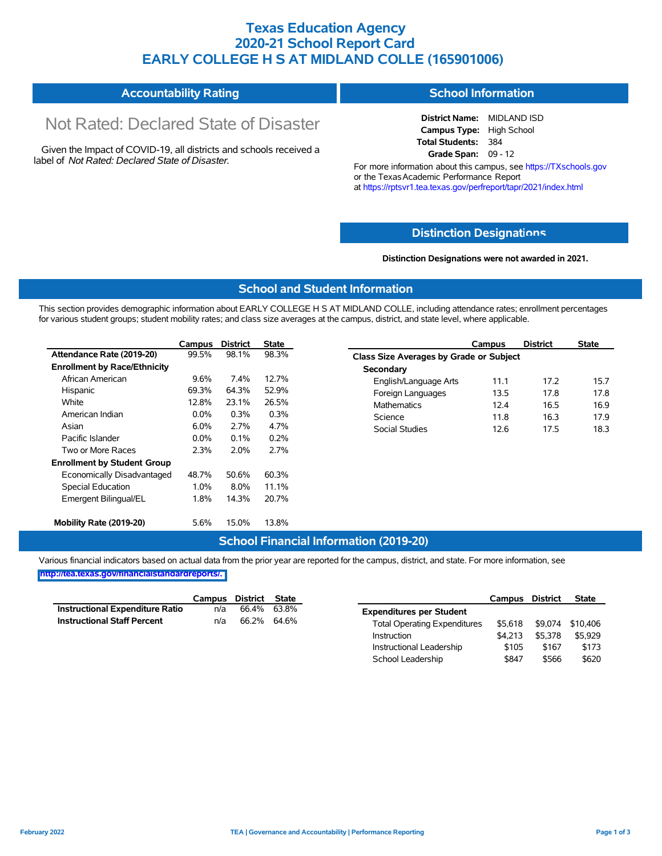## **Texas Education Agency 2020-21 School Report Card EARLY COLLEGE H S AT MIDLAND COLLE (165901006)**

#### **Accountability Rating School Information**

# Not Rated: Declared State of Disaster

Given the Impact of COVID-19, all districts and schools received a label of *Not Rated: Declared State of Disaster.*

**District Name:** MIDLAND ISD **Campus Type:** High School **Total Students:** 384 **Grade Span:** 09 - 12

For more information about this campus, see https://TXschools.gov or the Texas Academic Performance Report at https://rptsvr1.tea.texas.gov/perfreport/tapr/2021/index.html

#### **Distinction Designat[ions](https://TXschools.gov)**

**Distinction Designations were not awarded in 2021.**

School Leadership  $$847$  \$566 \$620

#### **School and Student Information**

This section provides demographic information about EARLY COLLEGE H S AT MIDLAND COLLE, including attendance rates; enrollment percentages for various student groups; student mobility rates; and class size averages at the campus, district, and state level, where applicable.

|                                     | Campus  | <b>District</b> | <b>State</b> | Campus                                  | <b>District</b> | <b>State</b> |  |  |  |  |
|-------------------------------------|---------|-----------------|--------------|-----------------------------------------|-----------------|--------------|--|--|--|--|
| Attendance Rate (2019-20)           | 99.5%   | 98.1%           | 98.3%        | Class Size Averages by Grade or Subject |                 |              |  |  |  |  |
| <b>Enrollment by Race/Ethnicity</b> |         |                 |              | Secondary                               |                 |              |  |  |  |  |
| African American                    | 9.6%    | 7.4%            | 12.7%        | English/Language Arts<br>11.1           | 17.2            |              |  |  |  |  |
| Hispanic                            | 69.3%   | 64.3%           | 52.9%        | 13.5<br>Foreign Languages               | 17.8            |              |  |  |  |  |
| White                               | 12.8%   | 23.1%           | 26.5%        | <b>Mathematics</b><br>12.4              | 16.5            |              |  |  |  |  |
| American Indian                     | $0.0\%$ | 0.3%            | 0.3%         | Science<br>11.8                         | 16.3            |              |  |  |  |  |
| Asian                               | 6.0%    | 2.7%            | 4.7%         | Social Studies<br>12.6                  | 17.5            |              |  |  |  |  |
| Pacific Islander                    | $0.0\%$ | 0.1%            | 0.2%         |                                         |                 |              |  |  |  |  |
| Two or More Races                   | 2.3%    | 2.0%            | 2.7%         |                                         |                 |              |  |  |  |  |
| <b>Enrollment by Student Group</b>  |         |                 |              |                                         |                 |              |  |  |  |  |
| Economically Disadvantaged          | 48.7%   | 50.6%           | 60.3%        |                                         |                 |              |  |  |  |  |
| Special Education                   | 1.0%    | 8.0%            | 11.1%        |                                         |                 |              |  |  |  |  |
| Emergent Bilingual/EL               | 1.8%    | 14.3%           | 20.7%        |                                         |                 |              |  |  |  |  |
| Mobility Rate (2019-20)             | 5.6%    | 15.0%           | 13.8%        |                                         |                 |              |  |  |  |  |

#### **School Financial Information (2019-20)**

Various financial indicators based on actual data from the prior year are reported for the campus, district, and state. For more information, see

**[http://tea.texas.gov/financialstandardreports/.](http://tea.texas.gov/financialstandardreports/)**

|                                        | Campus | District State |       |                                     | Campus  | <b>District</b> | <b>State</b>     |
|----------------------------------------|--------|----------------|-------|-------------------------------------|---------|-----------------|------------------|
| <b>Instructional Expenditure Ratio</b> | n/a    | 66.4%          | 63.8% | <b>Expenditures per Student</b>     |         |                 |                  |
| <b>Instructional Staff Percent</b>     | n/a    | 66.2% 64.6%    |       | <b>Total Operating Expenditures</b> | \$5.618 |                 | \$9,074 \$10,406 |
|                                        |        |                |       | Instruction                         | \$4.213 | \$5.378         | \$5.929          |
|                                        |        |                |       | Instructional Leadership            | \$105   | \$167           | \$173            |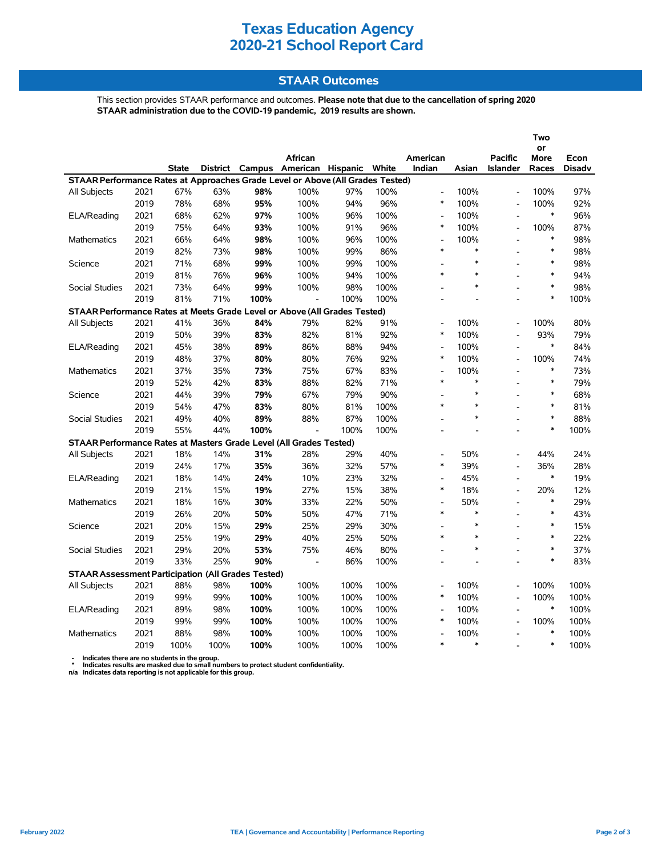## **Texas Education Agency 2020-21 School Report Card**

#### **STAAR Outcomes**

This section provides STAAR performance and outcomes. **Please note that due to the cancellation of spring 2020 STAAR administration due to the COVID-19 pandemic, 2019 results are shown.**

|                                                                                                                                                                                                                 |      |            |      |      |                          |      |      |                          |        | Two                      |               |      |  |
|-----------------------------------------------------------------------------------------------------------------------------------------------------------------------------------------------------------------|------|------------|------|------|--------------------------|------|------|--------------------------|--------|--------------------------|---------------|------|--|
|                                                                                                                                                                                                                 |      |            |      |      |                          |      |      |                          |        | or                       |               |      |  |
|                                                                                                                                                                                                                 |      |            |      |      | African                  |      |      | American                 |        | <b>Pacific</b>           | More          | Econ |  |
| <b>State</b><br><b>District</b><br>Campus<br>American Hispanic White<br>Indian<br>Asian<br><b>Islander</b><br>Races<br>Disadv<br>STAAR Performance Rates at Approaches Grade Level or Above (All Grades Tested) |      |            |      |      |                          |      |      |                          |        |                          |               |      |  |
| All Subjects                                                                                                                                                                                                    | 2021 | 67%        | 63%  | 98%  | 100%                     | 97%  | 100% | $\overline{a}$           | 100%   | L,                       | 100%          | 97%  |  |
|                                                                                                                                                                                                                 | 2019 | 78%        | 68%  | 95%  | 100%                     | 94%  | 96%  | *                        | 100%   |                          | 100%          | 92%  |  |
| ELA/Reading                                                                                                                                                                                                     | 2021 | 68%        | 62%  | 97%  | 100%                     | 96%  | 100% | $\overline{a}$           | 100%   | L,                       | $\ast$        | 96%  |  |
|                                                                                                                                                                                                                 | 2019 | 75%        | 64%  | 93%  | 100%                     | 91%  | 96%  | $\ast$                   | 100%   | $\overline{a}$           | 100%          | 87%  |  |
| <b>Mathematics</b>                                                                                                                                                                                              | 2021 | 66%        | 64%  | 98%  | 100%                     | 96%  | 100% | $\overline{a}$           | 100%   | $\overline{a}$           | $\ast$        | 98%  |  |
|                                                                                                                                                                                                                 | 2019 | 82%        | 73%  | 98%  | 100%                     | 99%  | 86%  | $\ast$                   | $\ast$ | $\overline{a}$           | $\ast$        | 98%  |  |
| Science                                                                                                                                                                                                         | 2021 | 71%        | 68%  | 99%  | 100%                     | 99%  | 100% |                          | $\ast$ | $\overline{a}$           | $\ast$        | 98%  |  |
|                                                                                                                                                                                                                 | 2019 | 81%        | 76%  | 96%  | 100%                     | 94%  | 100% | $\ast$                   | $\ast$ |                          | $\ast$        | 94%  |  |
|                                                                                                                                                                                                                 |      |            |      |      |                          |      |      |                          | $\ast$ |                          | $\ast$        |      |  |
| Social Studies                                                                                                                                                                                                  | 2021 | 73%<br>81% | 64%  | 99%  | 100%                     | 98%  | 100% |                          |        |                          | $\ast$        | 98%  |  |
|                                                                                                                                                                                                                 | 2019 |            | 71%  | 100% |                          | 100% | 100% | $\overline{\phantom{a}}$ |        |                          |               | 100% |  |
| STAAR Performance Rates at Meets Grade Level or Above (All Grades Tested)                                                                                                                                       |      |            |      |      |                          |      |      |                          |        |                          |               |      |  |
| All Subjects                                                                                                                                                                                                    | 2021 | 41%        | 36%  | 84%  | 79%                      | 82%  | 91%  | L,<br>$\ast$             | 100%   | $\overline{\phantom{a}}$ | 100%          | 80%  |  |
|                                                                                                                                                                                                                 | 2019 | 50%        | 39%  | 83%  | 82%                      | 81%  | 92%  |                          | 100%   |                          | 93%<br>$\ast$ | 79%  |  |
| ELA/Reading                                                                                                                                                                                                     | 2021 | 45%        | 38%  | 89%  | 86%                      | 88%  | 94%  | L,                       | 100%   | $\overline{a}$           |               | 84%  |  |
|                                                                                                                                                                                                                 | 2019 | 48%        | 37%  | 80%  | 80%                      | 76%  | 92%  | *                        | 100%   | $\overline{a}$           | 100%          | 74%  |  |
| Mathematics                                                                                                                                                                                                     | 2021 | 37%        | 35%  | 73%  | 75%                      | 67%  | 83%  | $\overline{a}$<br>$\ast$ | 100%   | $\blacksquare$           | $\ast$        | 73%  |  |
|                                                                                                                                                                                                                 | 2019 | 52%        | 42%  | 83%  | 88%                      | 82%  | 71%  |                          | $\ast$ |                          | $\ast$        | 79%  |  |
| Science                                                                                                                                                                                                         | 2021 | 44%        | 39%  | 79%  | 67%                      | 79%  | 90%  |                          | $\ast$ |                          | $\ast$        | 68%  |  |
|                                                                                                                                                                                                                 | 2019 | 54%        | 47%  | 83%  | 80%                      | 81%  | 100% | $\ast$                   | $\ast$ |                          | $\ast$        | 81%  |  |
| <b>Social Studies</b>                                                                                                                                                                                           | 2021 | 49%        | 40%  | 89%  | 88%                      | 87%  | 100% |                          | $\ast$ |                          | $\ast$        | 88%  |  |
|                                                                                                                                                                                                                 | 2019 | 55%        | 44%  | 100% | $\frac{1}{2}$            | 100% | 100% |                          |        |                          | $\ast$        | 100% |  |
| STAAR Performance Rates at Masters Grade Level (All Grades Tested)                                                                                                                                              |      |            |      |      |                          |      |      |                          |        |                          |               |      |  |
| All Subjects                                                                                                                                                                                                    | 2021 | 18%        | 14%  | 31%  | 28%                      | 29%  | 40%  | $\overline{a}$           | 50%    | $\overline{a}$           | 44%           | 24%  |  |
|                                                                                                                                                                                                                 | 2019 | 24%        | 17%  | 35%  | 36%                      | 32%  | 57%  | $\ast$                   | 39%    | $\overline{a}$           | 36%           | 28%  |  |
| ELA/Reading                                                                                                                                                                                                     | 2021 | 18%        | 14%  | 24%  | 10%                      | 23%  | 32%  | ÷.                       | 45%    | $\overline{a}$           | $\ast$        | 19%  |  |
|                                                                                                                                                                                                                 | 2019 | 21%        | 15%  | 19%  | 27%                      | 15%  | 38%  | $\ast$                   | 18%    | $\overline{a}$           | 20%           | 12%  |  |
| <b>Mathematics</b>                                                                                                                                                                                              | 2021 | 18%        | 16%  | 30%  | 33%                      | 22%  | 50%  | $\overline{a}$           | 50%    | $\overline{a}$           | $\ast$        | 29%  |  |
|                                                                                                                                                                                                                 | 2019 | 26%        | 20%  | 50%  | 50%                      | 47%  | 71%  | $\ast$                   | $\ast$ |                          | $\ast$        | 43%  |  |
| Science                                                                                                                                                                                                         | 2021 | 20%        | 15%  | 29%  | 25%                      | 29%  | 30%  |                          | $\ast$ |                          | $\ast$        | 15%  |  |
|                                                                                                                                                                                                                 | 2019 | 25%        | 19%  | 29%  | 40%                      | 25%  | 50%  | $\ast$                   | $\ast$ |                          | $\ast$        | 22%  |  |
| <b>Social Studies</b>                                                                                                                                                                                           | 2021 | 29%        | 20%  | 53%  | 75%                      | 46%  | 80%  |                          | $\ast$ |                          | $\ast$        | 37%  |  |
|                                                                                                                                                                                                                 | 2019 | 33%        | 25%  | 90%  | $\overline{\phantom{a}}$ | 86%  | 100% |                          |        |                          | $\ast$        | 83%  |  |
| <b>STAAR Assessment Participation (All Grades Tested)</b>                                                                                                                                                       |      |            |      |      |                          |      |      |                          |        |                          |               |      |  |
| All Subjects                                                                                                                                                                                                    | 2021 | 88%        | 98%  | 100% | 100%                     | 100% | 100% | $\overline{a}$           | 100%   | $\overline{a}$           | 100%          | 100% |  |
|                                                                                                                                                                                                                 | 2019 | 99%        | 99%  | 100% | 100%                     | 100% | 100% | $\ast$                   | 100%   |                          | 100%          | 100% |  |
| ELA/Reading                                                                                                                                                                                                     | 2021 | 89%        | 98%  | 100% | 100%                     | 100% | 100% | $\overline{a}$           | 100%   | $\overline{a}$           | $\ast$        | 100% |  |
|                                                                                                                                                                                                                 | 2019 | 99%        | 99%  | 100% | 100%                     | 100% | 100% | $\ast$                   | 100%   | $\blacksquare$           | 100%          | 100% |  |
| <b>Mathematics</b>                                                                                                                                                                                              | 2021 | 88%        | 98%  | 100% | 100%                     | 100% | 100% | L,                       | 100%   | $\blacksquare$           | $\ast$        | 100% |  |
|                                                                                                                                                                                                                 | 2019 | 100%       | 100% | 100% | 100%                     | 100% | 100% | $\ast$                   | $\ast$ |                          | $\ast$        | 100% |  |

 **- Indicates there are no students in the group. \* Indicates results are masked due to small numbers to protect student confidentiality.**

**n/a Indicates data reporting is not applicable for this group.**